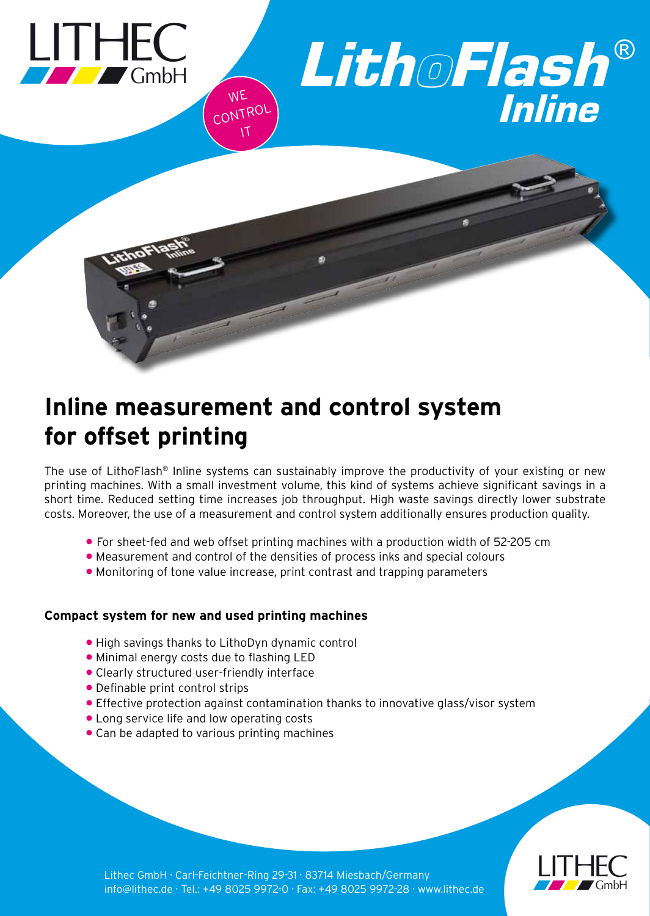

# *LithoFlash ®* WE NTROL



# **Inline measurement and control system for offset printing**

CONTROL IT

The use of LithoFlash® Inline systems can sustainably improve the productivity of your existing or new printing machines. With a small investment volume, this kind of systems achieve significant savings in a short time. Reduced setting time increases job throughput. High waste savings directly lower substrate costs. Moreover, the use of a measurement and control system additionally ensures production quality.

- For sheet-fed and web offset printing machines with a production width of 52-205 cm
- Measurement and control of the densities of process inks and special colours
- Monitoring of tone value increase, print contrast and trapping parameters

# **Compact system for new and used printing machines**

- High savings thanks to LithoDyn dynamic control
- Minimal energy costs due to flashing LED
- Clearly structured user-friendly interface
- Definable print control strips
- Effective protection against contamination thanks to innovative glass/visor system
- Long service life and low operating costs
- Can be adapted to various printing machines



Lithec GmbH · Carl-Feichtner-Ring 29-31 · 83714 Miesbach/Germany info@lithec.de · Tel.: +49 8025 9972-0 · Fax: +49 8025 9972-28 · www.lithec.de